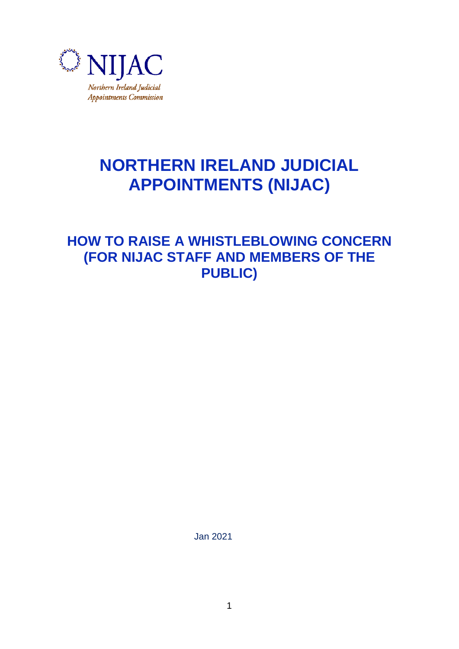

# **NORTHERN IRELAND JUDICIAL APPOINTMENTS (NIJAC)**

**HOW TO RAISE A WHISTLEBLOWING CONCERN (FOR NIJAC STAFF AND MEMBERS OF THE PUBLIC)**

Jan 2021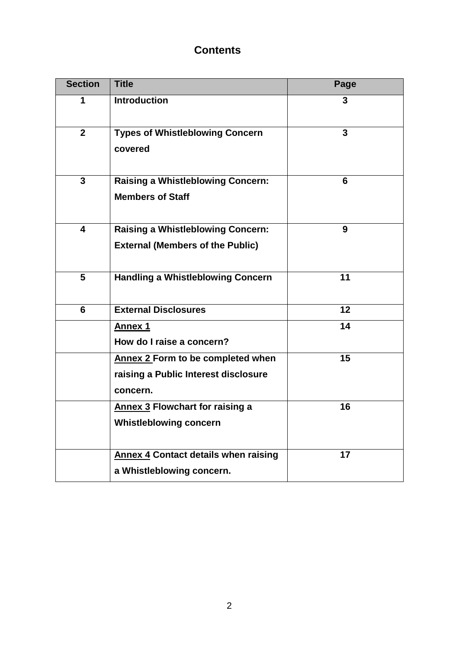# **Contents**

| <b>Section</b>          | <b>Title</b>                                                                          | Page |
|-------------------------|---------------------------------------------------------------------------------------|------|
| 1                       | <b>Introduction</b>                                                                   | 3    |
| $\overline{2}$          | <b>Types of Whistleblowing Concern</b><br>covered                                     | 3    |
| $\mathbf{3}$            | <b>Raising a Whistleblowing Concern:</b><br><b>Members of Staff</b>                   | 6    |
| $\overline{\mathbf{4}}$ | <b>Raising a Whistleblowing Concern:</b><br><b>External (Members of the Public)</b>   | 9    |
| 5                       | <b>Handling a Whistleblowing Concern</b>                                              | 11   |
| 6                       | <b>External Disclosures</b>                                                           | 12   |
|                         | <b>Annex 1</b><br>How do I raise a concern?                                           | 14   |
|                         | Annex 2 Form to be completed when<br>raising a Public Interest disclosure<br>concern. | 15   |
|                         | Annex 3 Flowchart for raising a<br><b>Whistleblowing concern</b>                      | 16   |
|                         | <b>Annex 4 Contact details when raising</b><br>a Whistleblowing concern.              | 17   |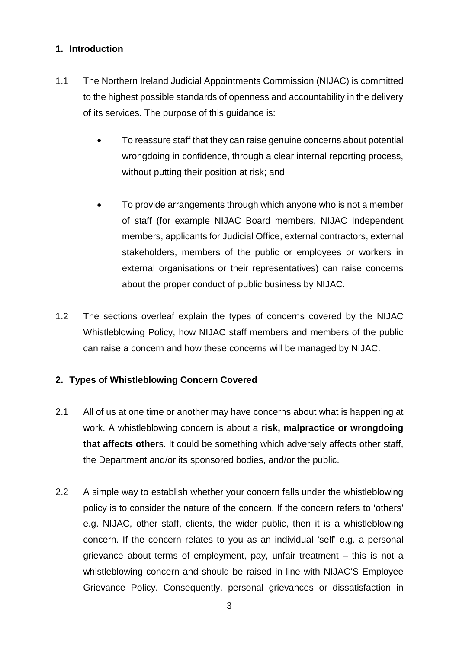#### **1. Introduction**

- 1.1 The Northern Ireland Judicial Appointments Commission (NIJAC) is committed to the highest possible standards of openness and accountability in the delivery of its services. The purpose of this guidance is:
	- To reassure staff that they can raise genuine concerns about potential wrongdoing in confidence, through a clear internal reporting process, without putting their position at risk; and
	- To provide arrangements through which anyone who is not a member of staff (for example NIJAC Board members, NIJAC Independent members, applicants for Judicial Office, external contractors, external stakeholders, members of the public or employees or workers in external organisations or their representatives) can raise concerns about the proper conduct of public business by NIJAC.
- 1.2 The sections overleaf explain the types of concerns covered by the NIJAC Whistleblowing Policy, how NIJAC staff members and members of the public can raise a concern and how these concerns will be managed by NIJAC.

## **2. Types of Whistleblowing Concern Covered**

- 2.1 All of us at one time or another may have concerns about what is happening at work. A whistleblowing concern is about a **risk, malpractice or wrongdoing that affects other**s. It could be something which adversely affects other staff, the Department and/or its sponsored bodies, and/or the public.
- 2.2 A simple way to establish whether your concern falls under the whistleblowing policy is to consider the nature of the concern. If the concern refers to 'others' e.g. NIJAC, other staff, clients, the wider public, then it is a whistleblowing concern. If the concern relates to you as an individual 'self' e.g. a personal grievance about terms of employment, pay, unfair treatment – this is not a whistleblowing concern and should be raised in line with NIJAC'S Employee Grievance Policy. Consequently, personal grievances or dissatisfaction in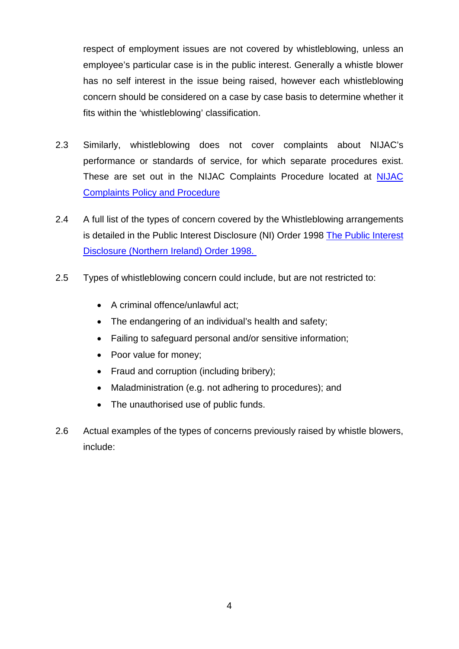respect of employment issues are not covered by whistleblowing, unless an employee's particular case is in the public interest. Generally a whistle blower has no self interest in the issue being raised, however each whistleblowing concern should be considered on a case by case basis to determine whether it fits within the 'whistleblowing' classification.

- 2.3 Similarly, whistleblowing does not cover complaints about NIJAC's performance or standards of service, for which separate procedures exist. These are set out in the NIJAC Complaints Procedure located at [NIJAC](https://www.nijac.gov.uk/sites/nijac/files/media-files/Complaints%20Policy%20130217%20%28Updated%20260618%20DPA%202018%29.pdf)  [Complaints Policy and Procedure](https://www.nijac.gov.uk/sites/nijac/files/media-files/Complaints%20Policy%20130217%20%28Updated%20260618%20DPA%202018%29.pdf)
- 2.4 A full list of the types of concern covered by the Whistleblowing arrangements is detailed in the Public Interest Disclosure (NI) Order 1998 [The Public Interest](http://www.legislation.gov.uk/nisi/1998/1763/contents)  [Disclosure \(Northern Ireland\) Order 1998.](http://www.legislation.gov.uk/nisi/1998/1763/contents)
- 2.5 Types of whistleblowing concern could include, but are not restricted to:
	- A criminal offence/unlawful act;
	- The endangering of an individual's health and safety;
	- Failing to safeguard personal and/or sensitive information;
	- Poor value for money;
	- Fraud and corruption (including bribery);
	- Maladministration (e.g. not adhering to procedures); and
	- The unauthorised use of public funds.
- 2.6 Actual examples of the types of concerns previously raised by whistle blowers, include: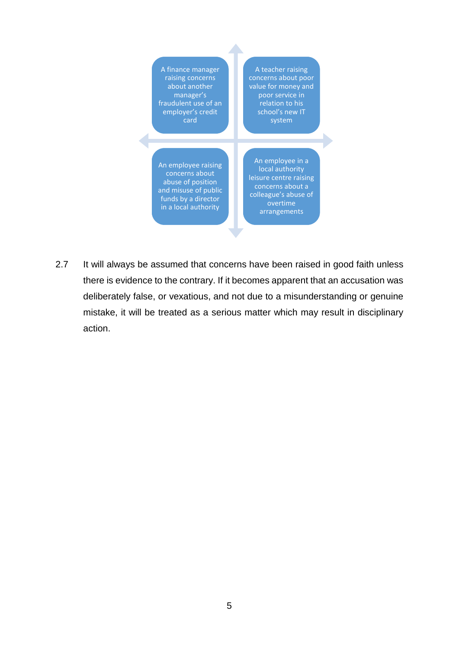| A finance manager<br>raising concerns<br>about another<br>manager's<br>fraudulent use of an<br>employer's credit<br>card          | A teacher raising<br>concerns about poor<br>value for money and<br>poor service in<br>relation to his<br>school's new IT<br>system    |
|-----------------------------------------------------------------------------------------------------------------------------------|---------------------------------------------------------------------------------------------------------------------------------------|
| An employee raising<br>concerns about<br>abuse of position<br>and misuse of public<br>funds by a director<br>in a local authority | An employee in a<br>local authority<br>leisure centre raising<br>concerns about a<br>colleague's abuse of<br>overtime<br>arrangements |

2.7 It will always be assumed that concerns have been raised in good faith unless there is evidence to the contrary. If it becomes apparent that an accusation was deliberately false, or vexatious, and not due to a misunderstanding or genuine mistake, it will be treated as a serious matter which may result in disciplinary action.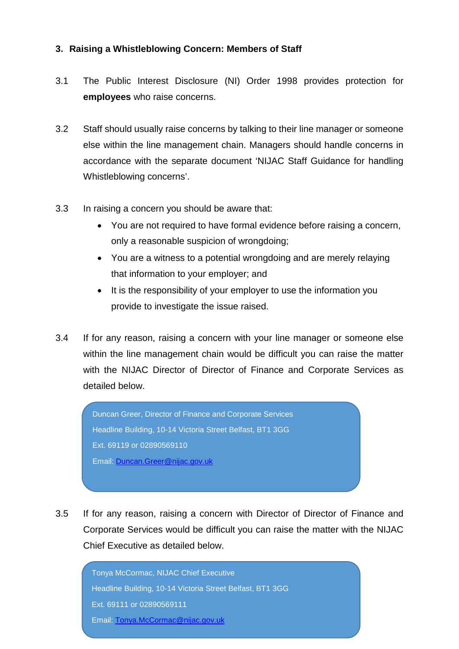#### **3. Raising a Whistleblowing Concern: Members of Staff**

- 3.1 The Public Interest Disclosure (NI) Order 1998 provides protection for **employees** who raise concerns.
- 3.2 Staff should usually raise concerns by talking to their line manager or someone else within the line management chain. Managers should handle concerns in accordance with the separate document 'NIJAC Staff Guidance for handling Whistleblowing concerns'.
- 3.3 In raising a concern you should be aware that:
	- You are not required to have formal evidence before raising a concern, only a reasonable suspicion of wrongdoing;
	- You are a witness to a potential wrongdoing and are merely relaying that information to your employer; and
	- It is the responsibility of your employer to use the information you provide to investigate the issue raised.
- 3.4 If for any reason, raising a concern with your line manager or someone else within the line management chain would be difficult you can raise the matter with the NIJAC Director of Director of Finance and Corporate Services as detailed below.

Duncan Greer, Director of Finance and Corporate Services Headline Building, 10-14 Victoria Street Belfast, BT1 3GG Ext. 69119 or 02890569110 Email: [Duncan.Greer@nijac.gov.uk](mailto:Duncan.Greer@nijac.gov.uk)

3.5 If for any reason, raising a concern with Director of Director of Finance and Corporate Services would be difficult you can raise the matter with the NIJAC Chief Executive as detailed below.

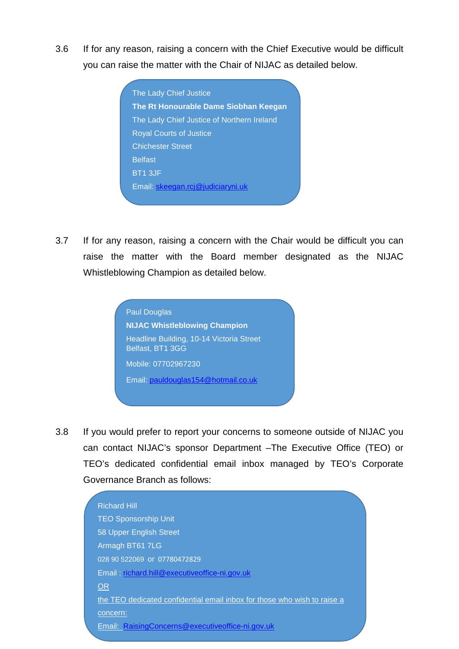3.6 If for any reason, raising a concern with the Chief Executive would be difficult you can raise the matter with the Chair of NIJAC as detailed below.

> The Lady Chief Justice **The Rt Honourable Dame Siobhan Keegan**  The Lady Chief Justice of Northern Ireland Royal Courts of Justice Chichester Street **Belfast** BT1 3JF Email: [skeegan.rcj@judiciaryni.uk](mailto:skeegan.rcj@judiciaryni.uk)

3.7 If for any reason, raising a concern with the Chair would be difficult you can raise the matter with the Board member designated as the NIJAC Whistleblowing Champion as detailed below.



3.8 If you would prefer to report your concerns to someone outside of NIJAC you can contact NIJAC's sponsor Department –The Executive Office (TEO) or TEO's dedicated confidential email inbox managed by TEO's Corporate Governance Branch as follows:

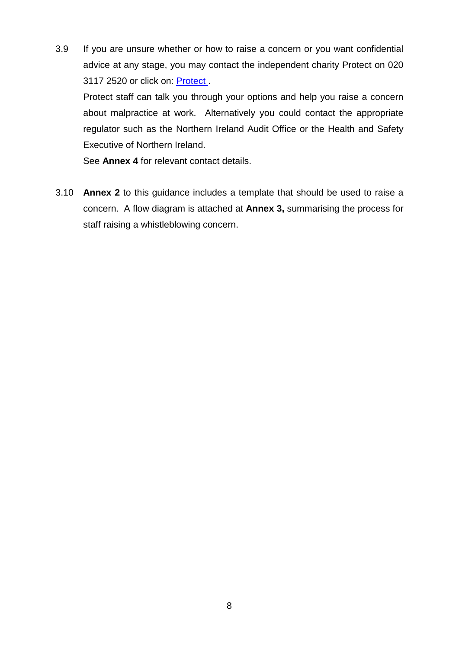3.9 If you are unsure whether or how to raise a concern or you want confidential advice at any stage, you may contact the independent charity Protect on 020 3117 2520 or click on: [Protect .](https://protect-advice.org.uk/contact-protect-advice-line/)

Protect staff can talk you through your options and help you raise a concern about malpractice at work. Alternatively you could contact the appropriate regulator such as the Northern Ireland Audit Office or the Health and Safety Executive of Northern Ireland.

See **Annex 4** for relevant contact details.

3.10 **Annex 2** to this guidance includes a template that should be used to raise a concern. A flow diagram is attached at **Annex 3,** summarising the process for staff raising a whistleblowing concern.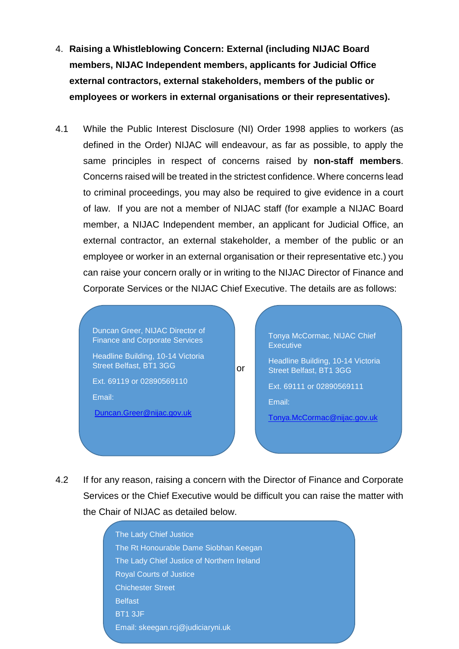- 4. **Raising a Whistleblowing Concern: External (including NIJAC Board members, NIJAC Independent members, applicants for Judicial Office external contractors, external stakeholders, members of the public or employees or workers in external organisations or their representatives).**
- 4.1 While the Public Interest Disclosure (NI) Order 1998 applies to workers (as defined in the Order) NIJAC will endeavour, as far as possible, to apply the same principles in respect of concerns raised by **non-staff members**. Concerns raised will be treated in the strictest confidence. Where concerns lead to criminal proceedings, you may also be required to give evidence in a court of law. If you are not a member of NIJAC staff (for example a NIJAC Board member, a NIJAC Independent member, an applicant for Judicial Office, an external contractor, an external stakeholder, a member of the public or an employee or worker in an external organisation or their representative etc.) you can raise your concern orally or in writing to the NIJAC Director of Finance and Corporate Services or the NIJAC Chief Executive. The details are as follows:

 or Duncan Greer, NIJAC Director of Finance and Corporate Services Headline Building, 10-14 Victoria Street Belfast, BT1 3GG Ext. 69119 or 02890569110 Email: [Duncan.Greer@nijac.gov.uk](mailto:Duncan.Greer@nijac.gov.uk) Tonya McCormac, NIJAC Chief **Executive** Headline Building, 10-14 Victoria Street Belfast, BT1 3GG Ext. 69111 or 02890569111 Email: [Tonya.McCormac@nijac.gov.uk](mailto:Tonya.McCormac@nijac.gov.uk)

4.2 If for any reason, raising a concern with the Director of Finance and Corporate Services or the Chief Executive would be difficult you can raise the matter with the Chair of NIJAC as detailed below.

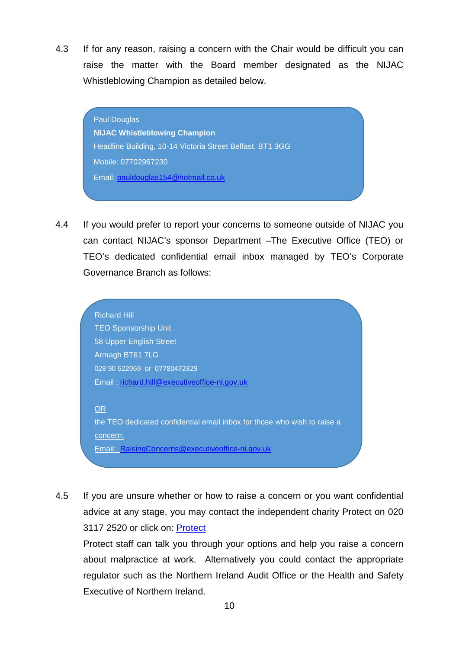4.3 If for any reason, raising a concern with the Chair would be difficult you can raise the matter with the Board member designated as the NIJAC Whistleblowing Champion as detailed below.

> Paul Douglas **NIJAC Whistleblowing Champion** Headline Building, 10-14 Victoria Street Belfast, BT1 3GG Mobile: 07702967230 Email: pauldouglas154@hotmail.co.uk

4.4 If you would prefer to report your concerns to someone outside of NIJAC you can contact NIJAC's sponsor Department –The Executive Office (TEO) or TEO's dedicated confidential email inbox managed by TEO's Corporate Governance Branch as follows:



4.5 If you are unsure whether or how to raise a concern or you want confidential advice at any stage, you may contact the independent charity Protect on 020 3117 2520 or click on: [Protect](https://protect-advice.org.uk/contact-protect-advice-line/) 

Protect staff can talk you through your options and help you raise a concern about malpractice at work. Alternatively you could contact the appropriate regulator such as the Northern Ireland Audit Office or the Health and Safety Executive of Northern Ireland.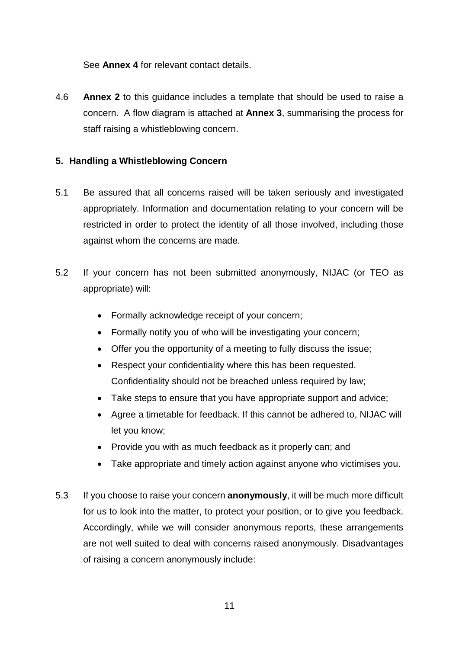See **Annex 4** for relevant contact details.

4.6 **Annex 2** to this guidance includes a template that should be used to raise a concern. A flow diagram is attached at **Annex 3**, summarising the process for staff raising a whistleblowing concern.

#### **5. Handling a Whistleblowing Concern**

- 5.1 Be assured that all concerns raised will be taken seriously and investigated appropriately. Information and documentation relating to your concern will be restricted in order to protect the identity of all those involved, including those against whom the concerns are made.
- 5.2 If your concern has not been submitted anonymously, NIJAC (or TEO as appropriate) will:
	- Formally acknowledge receipt of your concern;
	- Formally notify you of who will be investigating your concern;
	- Offer you the opportunity of a meeting to fully discuss the issue;
	- Respect your confidentiality where this has been requested. Confidentiality should not be breached unless required by law;
	- Take steps to ensure that you have appropriate support and advice;
	- Agree a timetable for feedback. If this cannot be adhered to, NIJAC will let you know;
	- Provide you with as much feedback as it properly can; and
	- Take appropriate and timely action against anyone who victimises you.
- 5.3 If you choose to raise your concern **anonymously**, it will be much more difficult for us to look into the matter, to protect your position, or to give you feedback. Accordingly, while we will consider anonymous reports, these arrangements are not well suited to deal with concerns raised anonymously. Disadvantages of raising a concern anonymously include: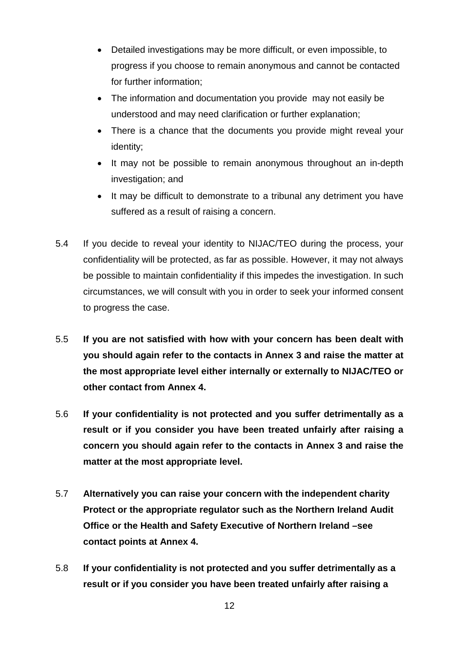- Detailed investigations may be more difficult, or even impossible, to progress if you choose to remain anonymous and cannot be contacted for further information;
- The information and documentation you provide may not easily be understood and may need clarification or further explanation;
- There is a chance that the documents you provide might reveal your identity;
- It may not be possible to remain anonymous throughout an in-depth investigation; and
- It may be difficult to demonstrate to a tribunal any detriment you have suffered as a result of raising a concern.
- 5.4 If you decide to reveal your identity to NIJAC/TEO during the process, your confidentiality will be protected, as far as possible. However, it may not always be possible to maintain confidentiality if this impedes the investigation. In such circumstances, we will consult with you in order to seek your informed consent to progress the case.
- 5.5 **If you are not satisfied with how with your concern has been dealt with you should again refer to the contacts in Annex 3 and raise the matter at the most appropriate level either internally or externally to NIJAC/TEO or other contact from Annex 4.**
- 5.6 **If your confidentiality is not protected and you suffer detrimentally as a result or if you consider you have been treated unfairly after raising a concern you should again refer to the contacts in Annex 3 and raise the matter at the most appropriate level.**
- 5.7 **Alternatively you can raise your concern with the independent charity Protect or the appropriate regulator such as the Northern Ireland Audit Office or the Health and Safety Executive of Northern Ireland –see contact points at Annex 4.**
- 5.8 **If your confidentiality is not protected and you suffer detrimentally as a result or if you consider you have been treated unfairly after raising a**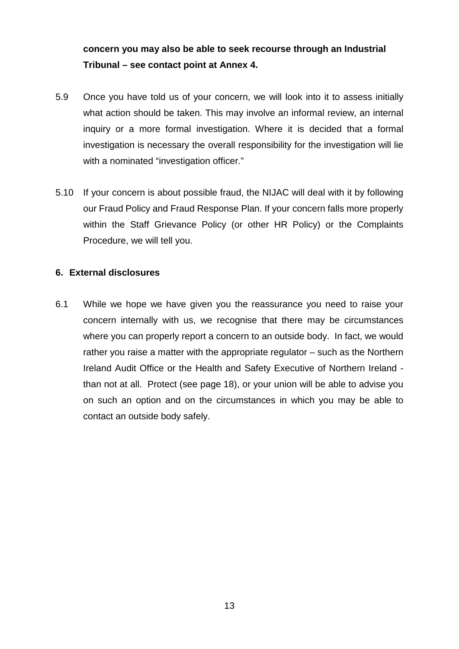# **concern you may also be able to seek recourse through an Industrial Tribunal – see contact point at Annex 4.**

- 5.9 Once you have told us of your concern, we will look into it to assess initially what action should be taken. This may involve an informal review, an internal inquiry or a more formal investigation. Where it is decided that a formal investigation is necessary the overall responsibility for the investigation will lie with a nominated "investigation officer."
- 5.10 If your concern is about possible fraud, the NIJAC will deal with it by following our Fraud Policy and Fraud Response Plan. If your concern falls more properly within the Staff Grievance Policy (or other HR Policy) or the Complaints Procedure, we will tell you.

#### **6. External disclosures**

6.1 While we hope we have given you the reassurance you need to raise your concern internally with us, we recognise that there may be circumstances where you can properly report a concern to an outside body. In fact, we would rather you raise a matter with the appropriate regulator – such as the Northern Ireland Audit Office or the Health and Safety Executive of Northern Ireland than not at all. Protect (see page 18), or your union will be able to advise you on such an option and on the circumstances in which you may be able to contact an outside body safely.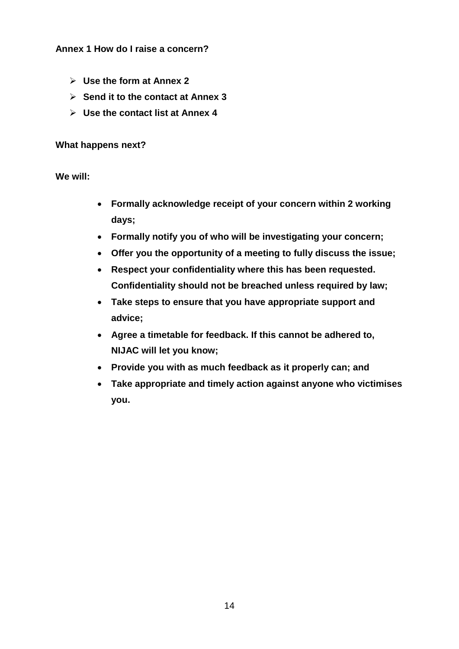#### **Annex 1 How do I raise a concern?**

- **Use the form at Annex 2**
- **Send it to the contact at Annex 3**
- **Use the contact list at Annex 4**

#### **What happens next?**

**We will:**

- **Formally acknowledge receipt of your concern within 2 working days;**
- **Formally notify you of who will be investigating your concern;**
- **Offer you the opportunity of a meeting to fully discuss the issue;**
- **Respect your confidentiality where this has been requested. Confidentiality should not be breached unless required by law;**
- **Take steps to ensure that you have appropriate support and advice;**
- **Agree a timetable for feedback. If this cannot be adhered to, NIJAC will let you know;**
- **Provide you with as much feedback as it properly can; and**
- **Take appropriate and timely action against anyone who victimises you.**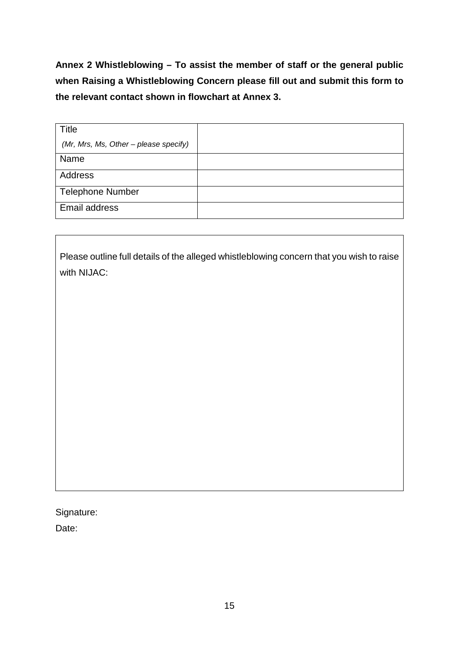**Annex 2 Whistleblowing – To assist the member of staff or the general public when Raising a Whistleblowing Concern please fill out and submit this form to the relevant contact shown in flowchart at Annex 3.**

| <b>Title</b>                          |  |
|---------------------------------------|--|
| (Mr, Mrs, Ms, Other - please specify) |  |
| Name                                  |  |
| <b>Address</b>                        |  |
| <b>Telephone Number</b>               |  |
| Email address                         |  |

Please outline full details of the alleged whistleblowing concern that you wish to raise with NIJAC:

Signature:

Date: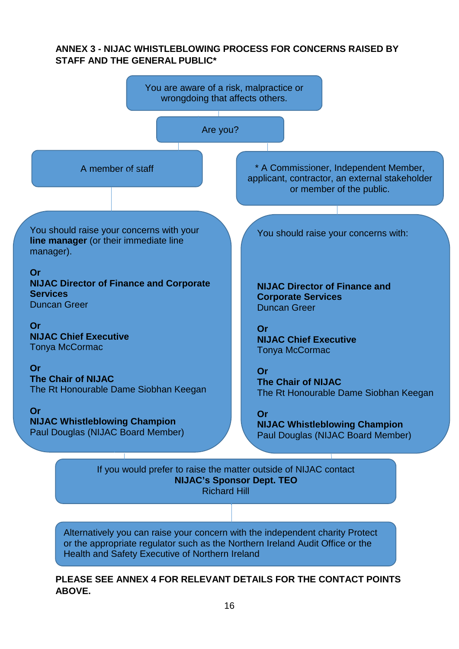#### **ANNEX 3 - NIJAC WHISTLEBLOWING PROCESS FOR CONCERNS RAISED BY STAFF AND THE GENERAL PUBLIC\***



Alternatively you can raise your concern with the independent charity Protect or the appropriate regulator such as the Northern Ireland Audit Office or the Health and Safety Executive of Northern Ireland

#### **PLEASE SEE ANNEX 4 FOR RELEVANT DETAILS FOR THE CONTACT POINTS ABOVE.**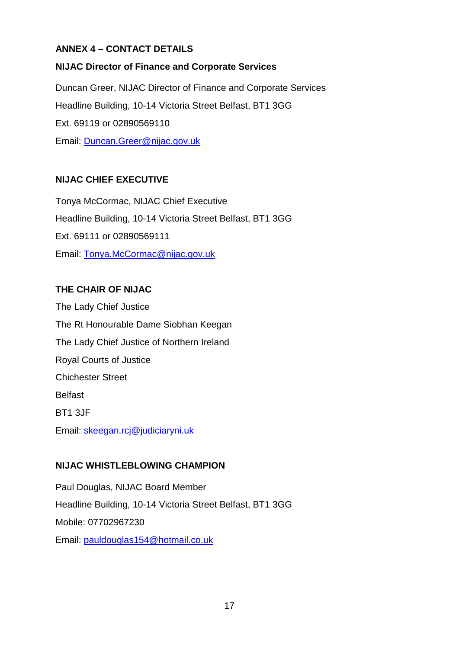## **ANNEX 4 – CONTACT DETAILS**

## **NIJAC Director of Finance and Corporate Services**

Duncan Greer, NIJAC Director of Finance and Corporate Services Headline Building, 10-14 Victoria Street Belfast, BT1 3GG Ext. 69119 or 02890569110 Email: [Duncan.Greer@nijac.gov.uk](mailto:Duncan.Greer@nijac.gov.uk)

## **NIJAC CHIEF EXECUTIVE**

Tonya McCormac, NIJAC Chief Executive Headline Building, 10-14 Victoria Street Belfast, BT1 3GG Ext. 69111 or 02890569111 Email: [Tonya.McCormac@nijac.gov.uk](mailto:Tonya.McCormac@nijac.gov.uk)

## **THE CHAIR OF NIJAC**

The Lady Chief Justice The Rt Honourable Dame Siobhan Keegan The Lady Chief Justice of Northern Ireland Royal Courts of Justice Chichester Street Belfast BT1 3JF Email: skeegan.rcj@judiciaryni.uk

## **NIJAC WHISTLEBLOWING CHAMPION**

Paul Douglas, NIJAC Board Member Headline Building, 10-14 Victoria Street Belfast, BT1 3GG Mobile: 07702967230 Email: [pauldouglas154@hotmail.co.uk](mailto:pauldouglas154@hotmail.co.uk)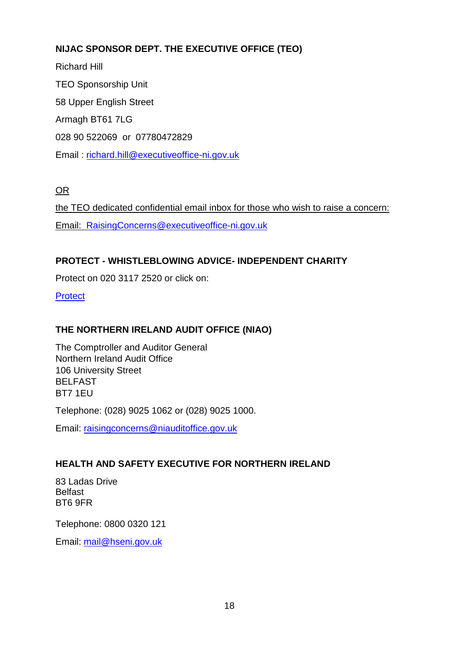# **NIJAC SPONSOR DEPT. THE EXECUTIVE OFFICE (TEO)**

Richard Hill TEO Sponsorship Unit 58 Upper English Street Armagh BT61 7LG 028 90 522069 or 07780472829 Email : [richard.hill@executiveoffice-ni.gov.uk](mailto:richard.hill@executiveoffice-ni.gov.uk)

OR

the TEO dedicated confidential email inbox for those who wish to raise a concern: Email: [RaisingConcerns@executiveoffice-ni.gov.uk](mailto:RaisingConcerns@executiveoffice-ni.gov.uk)

## **PROTECT - WHISTLEBLOWING ADVICE- INDEPENDENT CHARITY**

Protect on 020 3117 2520 or click on:

**Protect** 

## **THE NORTHERN IRELAND AUDIT OFFICE (NIAO)**

The Comptroller and Auditor General Northern Ireland Audit Office 106 University Street BELFAST BT7 1EU

Telephone: (028) 9025 1062 or (028) 9025 1000.

Email: [raisingconcerns@niauditoffice.gov.uk](mailto:raisingconcerns@niauditoffice.gov.uk)

## **HEALTH AND SAFETY EXECUTIVE FOR NORTHERN IRELAND**

83 Ladas Drive Belfast BT6 9FR

Telephone: 0800 0320 121

Email: [mail@hseni.gov.uk](mailto:mail@hseni.gov.uk)